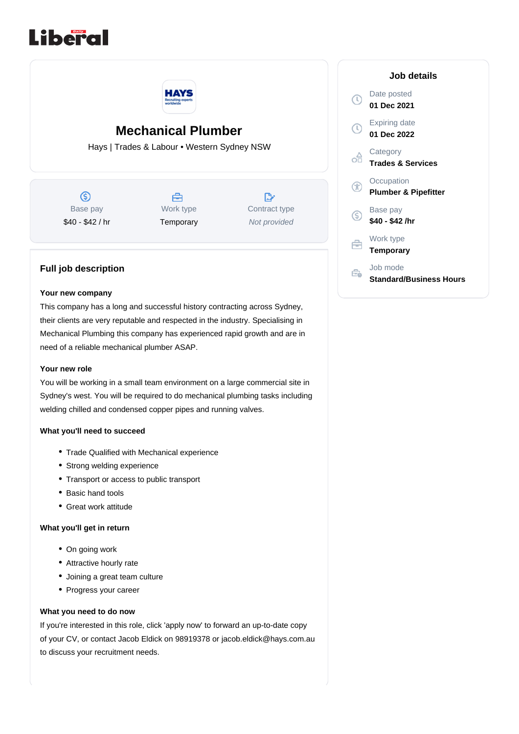



# **Mechanical Plumber**

Hays | Trades & Labour • Western Sydney NSW

 $\circledS$ Base pay \$40 - \$42 / hr



 $\mathbb{R}^n$ Contract type Not provided

## **Full job description**

#### **Your new company**

This company has a long and successful history contracting across Sydney, their clients are very reputable and respected in the industry. Specialising in Mechanical Plumbing this company has experienced rapid growth and are in need of a reliable mechanical plumber ASAP.

#### **Your new role**

You will be working in a small team environment on a large commercial site in Sydney's west. You will be required to do mechanical plumbing tasks including welding chilled and condensed copper pipes and running valves.

### **What you'll need to succeed**

- Trade Qualified with Mechanical experience
- Strong welding experience
- Transport or access to public transport
- Basic hand tools
- Great work attitude

#### **What you'll get in return**

- On going work
- Attractive hourly rate
- Joining a great team culture
- Progress your career

#### **What you need to do now**

If you're interested in this role, click 'apply now' to forward an up-to-date copy of your CV, or contact Jacob Eldick on 98919378 or jacob.eldick@hays.com.au to discuss your recruitment needs.

|    | Job details                                   |
|----|-----------------------------------------------|
| T) | Date posted<br>01 Dec 2021                    |
|    | Expiring date<br>01 Dec 2022                  |
|    | Category<br><b>Trades &amp; Services</b>      |
|    | Occupation<br><b>Plumber &amp; Pipefitter</b> |
| S  | Base pay<br>\$40 - \$42 /hr                   |
|    | Work type<br><b>Temporary</b>                 |
|    | Job mode<br><b>Standard/Business Hours</b>    |